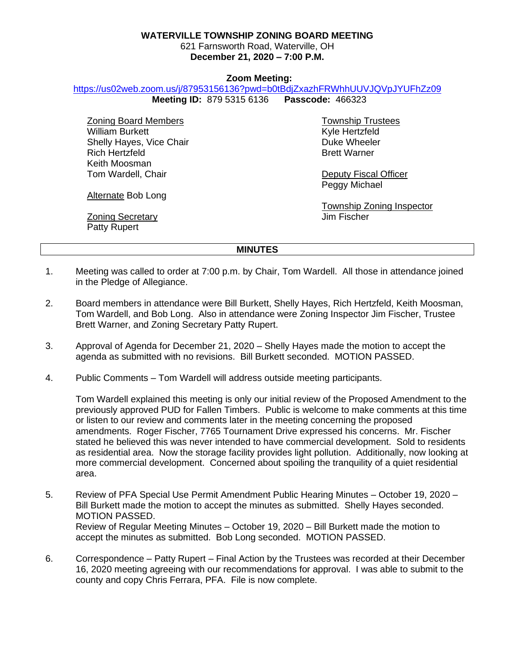# **WATERVILLE TOWNSHIP ZONING BOARD MEETING**

621 Farnsworth Road, Waterville, OH **December 21, 2020 – 7:00 P.M.**

# **Zoom Meeting:**

#### <https://us02web.zoom.us/j/87953156136?pwd=b0tBdjZxazhFRWhhUUVJQVpJYUFhZz09>

**Meeting ID:** 879 5315 6136 **Passcode:** 466323

Zoning Board Members William Burkett Shelly Hayes, Vice Chair Rich Hertzfeld Keith Moosman Tom Wardell, Chair

Township Trustees Kyle Hertzfeld Duke Wheeler Brett Warner

Deputy Fiscal Officer Peggy Michael

Township Zoning Inspector Jim Fischer

**Zoning Secretary** Patty Rupert

Alternate Bob Long

# **MINUTES**

- 1. Meeting was called to order at 7:00 p.m. by Chair, Tom Wardell. All those in attendance joined in the Pledge of Allegiance.
- 2. Board members in attendance were Bill Burkett, Shelly Hayes, Rich Hertzfeld, Keith Moosman, Tom Wardell, and Bob Long. Also in attendance were Zoning Inspector Jim Fischer, Trustee Brett Warner, and Zoning Secretary Patty Rupert.
- 3. Approval of Agenda for December 21, 2020 Shelly Hayes made the motion to accept the agenda as submitted with no revisions. Bill Burkett seconded. MOTION PASSED.
- 4. Public Comments Tom Wardell will address outside meeting participants.

Tom Wardell explained this meeting is only our initial review of the Proposed Amendment to the previously approved PUD for Fallen Timbers. Public is welcome to make comments at this time or listen to our review and comments later in the meeting concerning the proposed amendments. Roger Fischer, 7765 Tournament Drive expressed his concerns. Mr. Fischer stated he believed this was never intended to have commercial development. Sold to residents as residential area. Now the storage facility provides light pollution. Additionally, now looking at more commercial development. Concerned about spoiling the tranquility of a quiet residential area.

- 5. Review of PFA Special Use Permit Amendment Public Hearing Minutes October 19, 2020 Bill Burkett made the motion to accept the minutes as submitted. Shelly Hayes seconded. MOTION PASSED. Review of Regular Meeting Minutes – October 19, 2020 – Bill Burkett made the motion to accept the minutes as submitted. Bob Long seconded. MOTION PASSED.
- 6. Correspondence Patty Rupert Final Action by the Trustees was recorded at their December 16, 2020 meeting agreeing with our recommendations for approval. I was able to submit to the county and copy Chris Ferrara, PFA. File is now complete.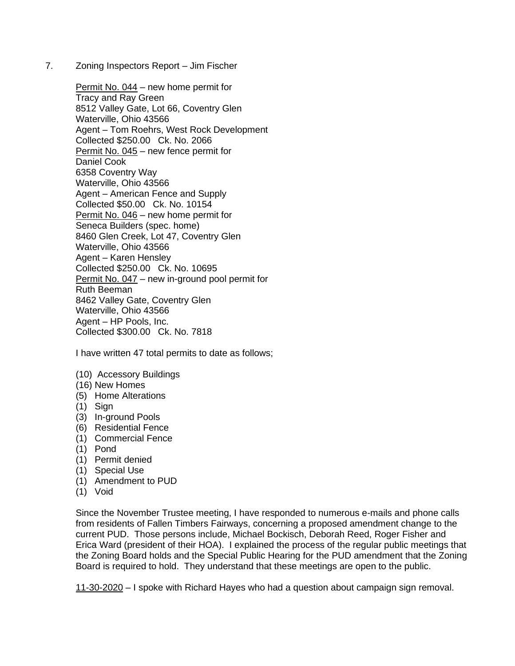7. Zoning Inspectors Report – Jim Fischer

Permit No. 044 – new home permit for Tracy and Ray Green 8512 Valley Gate, Lot 66, Coventry Glen Waterville, Ohio 43566 Agent – Tom Roehrs, West Rock Development Collected \$250.00 Ck. No. 2066 Permit No. 045 – new fence permit for Daniel Cook 6358 Coventry Way Waterville, Ohio 43566 Agent – American Fence and Supply Collected \$50.00 Ck. No. 10154 Permit No. 046 – new home permit for Seneca Builders (spec. home) 8460 Glen Creek, Lot 47, Coventry Glen Waterville, Ohio 43566 Agent – Karen Hensley Collected \$250.00 Ck. No. 10695 Permit No. 047 – new in-ground pool permit for Ruth Beeman 8462 Valley Gate, Coventry Glen Waterville, Ohio 43566 Agent – HP Pools, Inc. Collected \$300.00 Ck. No. 7818

I have written 47 total permits to date as follows;

- (10) Accessory Buildings
- (16) New Homes
- (5) Home Alterations
- (1) Sign
- (3) In-ground Pools
- (6) Residential Fence
- (1) Commercial Fence
- (1) Pond
- (1) Permit denied
- (1) Special Use
- (1) Amendment to PUD
- (1) Void

Since the November Trustee meeting, I have responded to numerous e-mails and phone calls from residents of Fallen Timbers Fairways, concerning a proposed amendment change to the current PUD. Those persons include, Michael Bockisch, Deborah Reed, Roger Fisher and Erica Ward (president of their HOA). I explained the process of the regular public meetings that the Zoning Board holds and the Special Public Hearing for the PUD amendment that the Zoning Board is required to hold. They understand that these meetings are open to the public.

11-30-2020 – I spoke with Richard Hayes who had a question about campaign sign removal.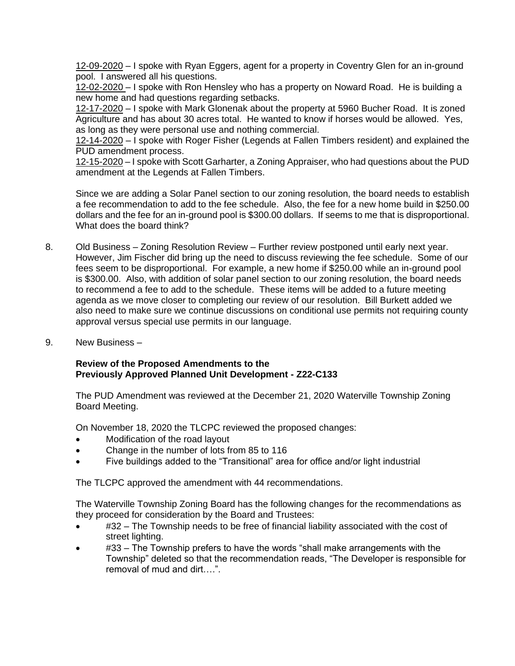12-09-2020 – I spoke with Ryan Eggers, agent for a property in Coventry Glen for an in-ground pool. I answered all his questions.

12-02-2020 – I spoke with Ron Hensley who has a property on Noward Road. He is building a new home and had questions regarding setbacks.

12-17-2020 – I spoke with Mark Glonenak about the property at 5960 Bucher Road. It is zoned Agriculture and has about 30 acres total. He wanted to know if horses would be allowed. Yes, as long as they were personal use and nothing commercial.

12-14-2020 – I spoke with Roger Fisher (Legends at Fallen Timbers resident) and explained the PUD amendment process.

12-15-2020 – I spoke with Scott Garharter, a Zoning Appraiser, who had questions about the PUD amendment at the Legends at Fallen Timbers.

Since we are adding a Solar Panel section to our zoning resolution, the board needs to establish a fee recommendation to add to the fee schedule. Also, the fee for a new home build in \$250.00 dollars and the fee for an in-ground pool is \$300.00 dollars. If seems to me that is disproportional. What does the board think?

- 8. Old Business Zoning Resolution Review Further review postponed until early next year. However, Jim Fischer did bring up the need to discuss reviewing the fee schedule. Some of our fees seem to be disproportional. For example, a new home if \$250.00 while an in-ground pool is \$300.00. Also, with addition of solar panel section to our zoning resolution, the board needs to recommend a fee to add to the schedule. These items will be added to a future meeting agenda as we move closer to completing our review of our resolution. Bill Burkett added we also need to make sure we continue discussions on conditional use permits not requiring county approval versus special use permits in our language.
- 9. New Business –

# **Review of the Proposed Amendments to the Previously Approved Planned Unit Development - Z22-C133**

The PUD Amendment was reviewed at the December 21, 2020 Waterville Township Zoning Board Meeting.

On November 18, 2020 the TLCPC reviewed the proposed changes:

- Modification of the road layout
- Change in the number of lots from 85 to 116
- Five buildings added to the "Transitional" area for office and/or light industrial

The TLCPC approved the amendment with 44 recommendations.

The Waterville Township Zoning Board has the following changes for the recommendations as they proceed for consideration by the Board and Trustees:

- #32 The Township needs to be free of financial liability associated with the cost of street lighting.
- #33 The Township prefers to have the words "shall make arrangements with the Township" deleted so that the recommendation reads, "The Developer is responsible for removal of mud and dirt….".